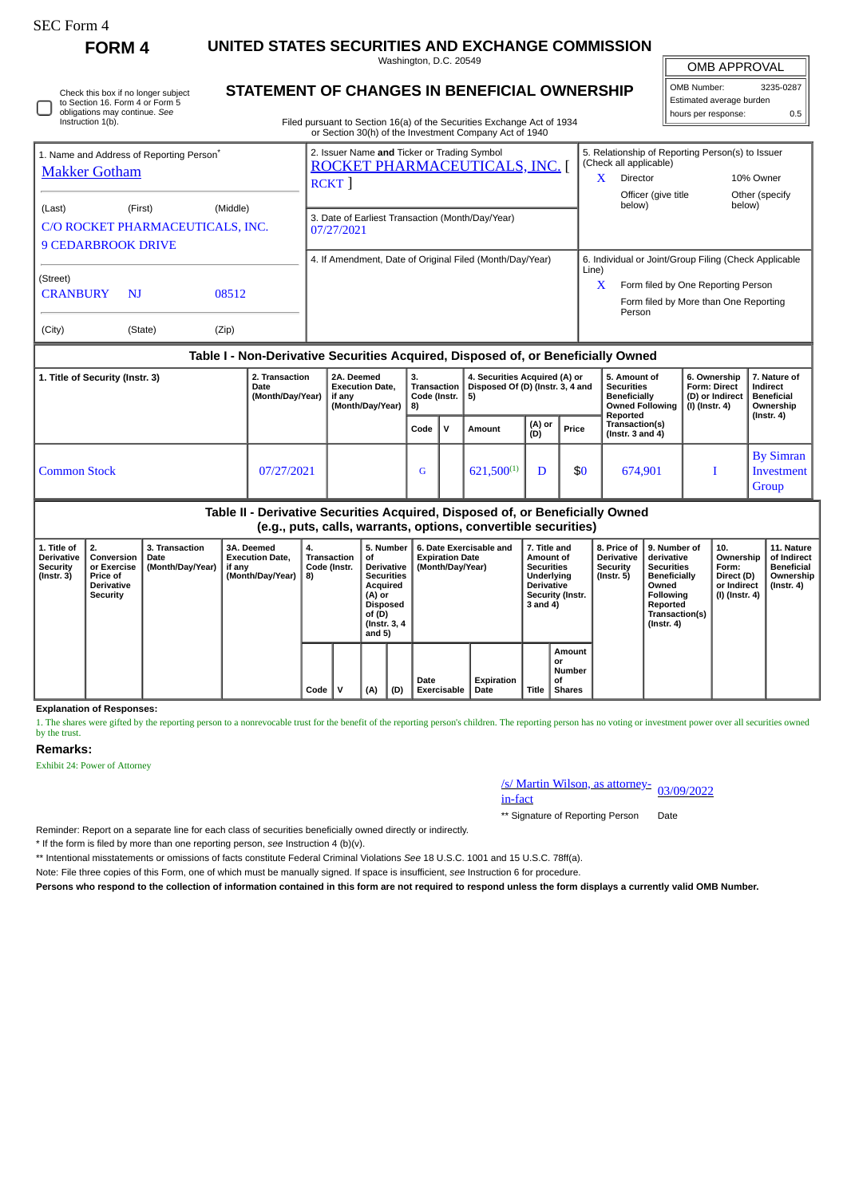| orm<br>г. |
|-----------|
|-----------|

Instruction 1(b).

Check this box if no longer subject to Section 16. Form 4 or Form 5 obligations may continue. *See*

**FORM 4 UNITED STATES SECURITIES AND EXCHANGE COMMISSION**

Washington, D.C. 20549

OMB APPROVAL

| <b>STATEMENT OF CHANGES IN BENEFICIAL OWNERSHIP</b>                    | l OMB Number:            | 3235-0287 |  |
|------------------------------------------------------------------------|--------------------------|-----------|--|
|                                                                        | Estimated average burden |           |  |
| Filed pursuant to Section 16(a) of the Securities Exchange Act of 1934 | I hours per response:    | 0.5       |  |
| or Section 30(h) of the Investment Company Act of 1940                 |                          |           |  |
| .                                                                      | ___________              |           |  |

Iſ

|                                                                                                |                                                      |  | of Section Softly of the investment Company Act of 1940                                    |            |                                                                                                                                                |                                        |  |
|------------------------------------------------------------------------------------------------|------------------------------------------------------|--|--------------------------------------------------------------------------------------------|------------|------------------------------------------------------------------------------------------------------------------------------------------------|----------------------------------------|--|
| <b>Makker Gotham</b>                                                                           | 1. Name and Address of Reporting Person <sup>®</sup> |  | 2. Issuer Name and Ticker or Trading Symbol<br>ROCKET PHARMACEUTICALS, INC.<br><b>RCKT</b> | x          | 5. Relationship of Reporting Person(s) to Issuer<br>(Check all applicable)<br><b>Director</b><br>Officer (give title<br>below)                 | 10% Owner<br>Other (specify)<br>below) |  |
| (Middle)<br>(First)<br>(Last)<br>C/O ROCKET PHARMACEUTICALS, INC.<br><b>9 CEDARBROOK DRIVE</b> |                                                      |  | 3. Date of Earliest Transaction (Month/Day/Year)<br>07/27/2021                             |            |                                                                                                                                                |                                        |  |
| (Street)<br><b>CRANBURY</b><br>N <sub>J</sub><br>08512<br>(City)<br>(Zip)<br>(State)           |                                                      |  | 4. If Amendment, Date of Original Filed (Month/Day/Year)                                   | Line)<br>X | 6. Individual or Joint/Group Filing (Check Applicable<br>Form filed by One Reporting Person<br>Form filed by More than One Reporting<br>Person |                                        |  |

## **Table I - Non-Derivative Securities Acquired, Disposed of, or Beneficially Owned**

| 1. Title of Security (Instr. 3) | 2. Transaction<br>Date<br>(Month/Day/Year) | 2A. Deemed<br><b>Execution Date,</b><br>if anv<br>(Month/Day/Year) | з.<br>Transaction  <br>Code (Instr. $ 5$ )<br>  8) |    | 4. Securities Acquired (A) or<br>Disposed Of (D) (Instr. 3, 4 and |               |       | 5. Amount of<br><b>Securities</b><br>Beneficially<br><b>Owned Following</b><br>Reported | 6. Ownership<br><b>Form: Direct</b><br>(D) or Indirect<br>$(I)$ (Instr. 4) | 7. Nature of<br>Indirect<br><b>Beneficial</b><br>Ownership<br>$($ Instr. 4 $)$ |
|---------------------------------|--------------------------------------------|--------------------------------------------------------------------|----------------------------------------------------|----|-------------------------------------------------------------------|---------------|-------|-----------------------------------------------------------------------------------------|----------------------------------------------------------------------------|--------------------------------------------------------------------------------|
|                                 |                                            |                                                                    | Code                                               | Ιv | Amount                                                            | (A) or<br>(D) | Price | Transaction(s)<br>(Instr. $3$ and $4$ )                                                 |                                                                            |                                                                                |
| <b>Common Stock</b>             | 07/27/2021                                 |                                                                    | G                                                  |    | $621,500^{(1)}$                                                   |               | \$0   | 674,901                                                                                 |                                                                            | <b>By Simran</b><br>Investment<br>Group                                        |

# **Table II - Derivative Securities Acquired, Disposed of, or Beneficially Owned (e.g., puts, calls, warrants, options, convertible securities)**

| 1. Title of<br><b>Derivative</b><br><b>Security</b><br>$($ Instr. 3 $)$ | 2.<br>Conversion<br>or Exercise<br><b>Price of</b><br><b>Derivative</b><br>Security | <b>3. Transaction</b><br>Date<br>(Month/Day/Year) | 3A. Deemed<br><b>Execution Date.</b><br>if any<br>(Month/Day/Year) | 4.<br>Transaction<br>Code (Instr.<br>8) |      | 5. Number<br>οf<br><b>Derivative</b><br><b>Securities</b><br>Acquired<br>(A) or<br>Disposed<br>of (D)<br>(Instr. 3, 4)<br>and $5)$ |     | 6. Date Exercisable and<br><b>Expiration Date</b><br>(Month/Day/Year) |                            | 7. Title and<br>Amount of<br><b>Securities</b><br>Underlying<br><b>Derivative</b><br>Security (Instr.<br>3 and 4) |       | 8. Price of<br><b>Derivative</b><br>Security<br>$($ Instr. 5 $)$ | 9. Number of<br>derivative<br><b>Securities</b><br><b>Beneficially</b><br>Owned<br>Following<br>Reported<br>Transaction(s)<br>$($ Instr. 4 $)$ | 10.<br>Ownership<br>Form:<br>Direct (D)<br>or Indirect<br>(I) (Instr. 4) | 11. Nature<br>of Indirect<br>Beneficial<br>Ownership<br>$($ Instr. 4 $)$ |  |
|-------------------------------------------------------------------------|-------------------------------------------------------------------------------------|---------------------------------------------------|--------------------------------------------------------------------|-----------------------------------------|------|------------------------------------------------------------------------------------------------------------------------------------|-----|-----------------------------------------------------------------------|----------------------------|-------------------------------------------------------------------------------------------------------------------|-------|------------------------------------------------------------------|------------------------------------------------------------------------------------------------------------------------------------------------|--------------------------------------------------------------------------|--------------------------------------------------------------------------|--|
|                                                                         |                                                                                     |                                                   |                                                                    |                                         | Code | v                                                                                                                                  | (A) | (D)                                                                   | Date<br><b>Exercisable</b> | Expiration<br>Date                                                                                                | Title | Amount<br>or<br>Number<br>0f<br><b>Shares</b>                    |                                                                                                                                                |                                                                          |                                                                          |  |

**Explanation of Responses:**

1. The shares were gifted by the reporting person to a nonrevocable trust for the benefit of the reporting person's children. The reporting person has no voting or investment power over all securities owned by the trust.

## **Remarks:**

Exhibit 24: Power of Attorney

/s/ Martin Wilson, as attorney-<br>in-fact

\*\* Signature of Reporting Person Date

Reminder: Report on a separate line for each class of securities beneficially owned directly or indirectly.

\* If the form is filed by more than one reporting person, *see* Instruction 4 (b)(v).

\*\* Intentional misstatements or omissions of facts constitute Federal Criminal Violations *See* 18 U.S.C. 1001 and 15 U.S.C. 78ff(a).

Note: File three copies of this Form, one of which must be manually signed. If space is insufficient, *see* Instruction 6 for procedure.

**Persons who respond to the collection of information contained in this form are not required to respond unless the form displays a currently valid OMB Number.**